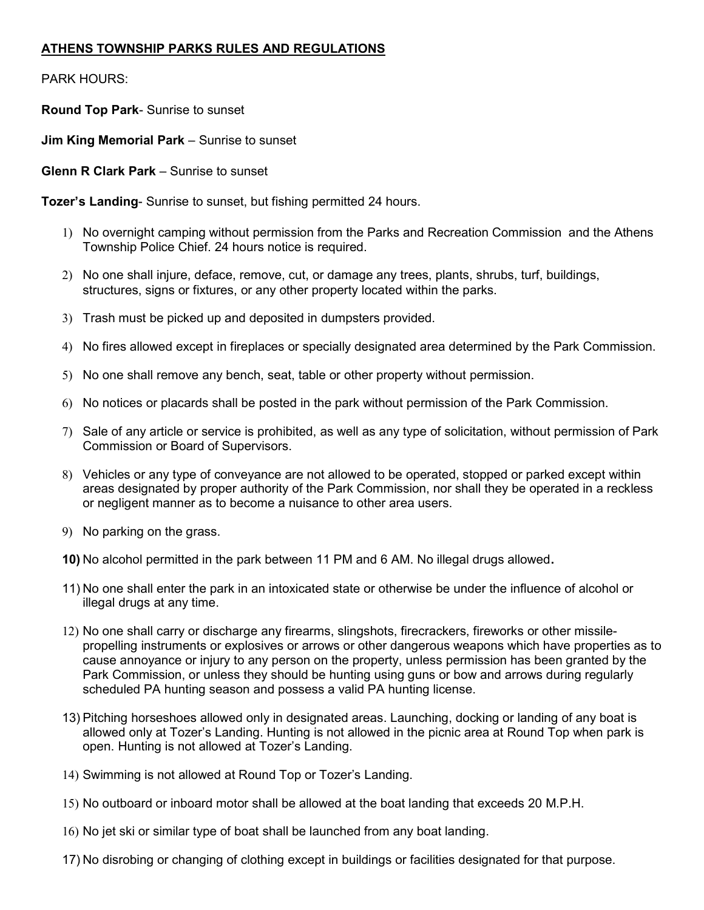## ATHENS TOWNSHIP PARKS RULES AND REGULATIONS

PARK HOURS:

Round Top Park- Sunrise to sunset

**Jim King Memorial Park** – Sunrise to sunset

**Glenn R Clark Park – Sunrise to sunset** 

Tozer's Landing- Sunrise to sunset, but fishing permitted 24 hours.

- 1) No overnight camping without permission from the Parks and Recreation Commission and the Athens Township Police Chief. 24 hours notice is required.
- 2) No one shall injure, deface, remove, cut, or damage any trees, plants, shrubs, turf, buildings, structures, signs or fixtures, or any other property located within the parks.
- 3) Trash must be picked up and deposited in dumpsters provided.
- 4) No fires allowed except in fireplaces or specially designated area determined by the Park Commission.
- 5) No one shall remove any bench, seat, table or other property without permission.
- 6) No notices or placards shall be posted in the park without permission of the Park Commission.
- 7) Sale of any article or service is prohibited, as well as any type of solicitation, without permission of Park Commission or Board of Supervisors.
- 8) Vehicles or any type of conveyance are not allowed to be operated, stopped or parked except within areas designated by proper authority of the Park Commission, nor shall they be operated in a reckless or negligent manner as to become a nuisance to other area users.
- 9) No parking on the grass.
- 10) No alcohol permitted in the park between 11 PM and 6 AM. No illegal drugs allowed.
- 11) No one shall enter the park in an intoxicated state or otherwise be under the influence of alcohol or illegal drugs at any time.
- 12) No one shall carry or discharge any firearms, slingshots, firecrackers, fireworks or other missilepropelling instruments or explosives or arrows or other dangerous weapons which have properties as to cause annoyance or injury to any person on the property, unless permission has been granted by the Park Commission, or unless they should be hunting using guns or bow and arrows during regularly scheduled PA hunting season and possess a valid PA hunting license.
- 13) Pitching horseshoes allowed only in designated areas. Launching, docking or landing of any boat is allowed only at Tozer's Landing. Hunting is not allowed in the picnic area at Round Top when park is open. Hunting is not allowed at Tozer's Landing.
- 14) Swimming is not allowed at Round Top or Tozer's Landing.
- 15) No outboard or inboard motor shall be allowed at the boat landing that exceeds 20 M.P.H.
- 16) No jet ski or similar type of boat shall be launched from any boat landing.
- 17) No disrobing or changing of clothing except in buildings or facilities designated for that purpose.